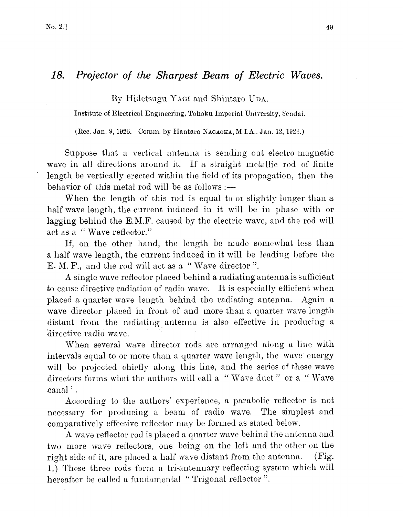## 18. Projector of the Sharpest Beam of Electric Waves.

By Hidetsugu YAGI and Shintaro UDA.

Institute of Electrical Engineering, Tohoku Imperial University, sendai.

(Rec. Jan. 9, 1926. Comm. by Hautaro NAGAOKA, M.I.A., Jan. 12, 1926. )

Suppose that a vertical antenna is sending out electro magnetic wave in all directions around it. If a straight metallic rod of finite length be vertically erected within the field of its propagation, then the behavior of this metal rod will be as follows :—

When the length of this rod is equal to or slightly longer than a half wave length, the current induced in it will be in phase with or lagging behind the E.M.F. caused by the electric wave, and the rod will act as a "Wave reflector."

If, on the other hand, the length be made somewhat less than a half wave length, the current induced in it will be leading before the E. M. F., and the rod will act as a" Wave director".

A single wave reflector placed behind a radiating antenna is sufficient to cause directive radiation of radio wave. It is especially efficient when placed a quarter wave length behind the radiating antenna. Again a wave director placed in front of and more than a quarter wave length distant from the radiating antenna is also effective in producing a directive radio wave.

When several wave director rods are arranged along a line with intervals equal to or more than a quarter wave length, the wave energy will be projected chiefly along this line, and the series of these wave directors forms what the authors will call a " Wave duct" or a " Wave canal<sup>'</sup>.

According to the authors' experience, a parabolic reflector is not necessary for producing a beam of radio wave. The simplest and comparatively effective reflector may be formed as stated below.

A wave reflector rod is placed a quarter wave behind the antenna and two more wave reflectors, one being on the left and the other on the right side of it, are placed a half wave distant from the antenna. (Fig. 1.) These three rods form a tri-antennary reflecting system which will hereafter be called a fundamental "Trigonal reflector".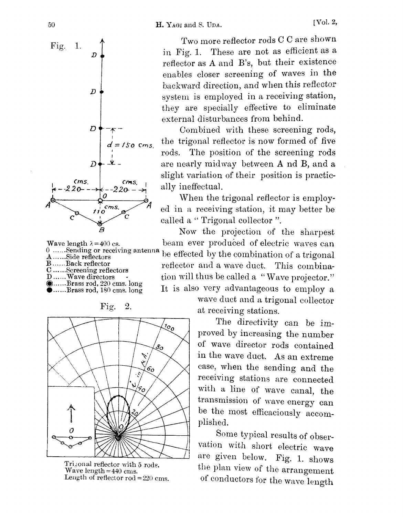

Wave length  $\lambda$  =400 cs. 0. ......Sending or receiving ante B...... Back reflector C......Screening reflectors D......Wave directors ......Brass rod, 220 cms. long ••  $\bullet$ ......Brass rod, 180 cms. long

Fig. 2.



Trizonal reflector with 5 rods. Wave length  $=440$  cms. Length of reflector  $rod = 220$  cms.

Two more reflector rods C C are shown in Fig. 1. These are not as efficient as a reflector as A and B's, but their existence enables closer screening of waves in the backward direction, and when this reflector system is employed in a receiving station, they are specially effective to eliminate external disturbances from behind.

Combined with these screening rods, the trigonal reflector is now formed of five rods. The position of the screening rods are nearly midway between A nd B, and a slight variation of their position is practically ineffectual.

When the trigonal reflector is employed in a receiving station, it may better be called a " Trigonal collector ".

 $A_{\ldots}$  Sending or receiving antenna be effected by the combination of a trigonal Now the projection of the sharpest beam ever produced of electric waves can reflector and a wave duct. This combination will thus be called a "Wave projector." It is also very advantageous to employ a

> wave duct and a trigonal collector at receiving stations.

The directivity can be improved by increasing the number of wave director rods contained in the wave duct. As an extreme case, when the sending and the receiving stations are connected with a line of wave canal, the transmission of wave energy can be the most efficaciously accomplished.

Some typical results of observation with short electric wave are given below. Fig. 1. shows the plan view of the arrangement of conductors for the wave length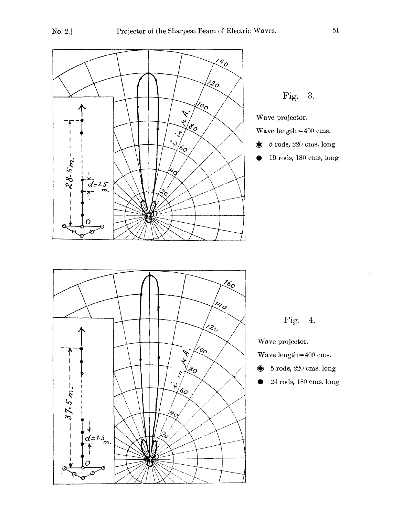



Fig. 4.

Wave projector.

Wave length  $\!=\!400$  cms.

- $\bullet$  5 rods, 220 cms. long
	- 24 rods, 180 cms. long